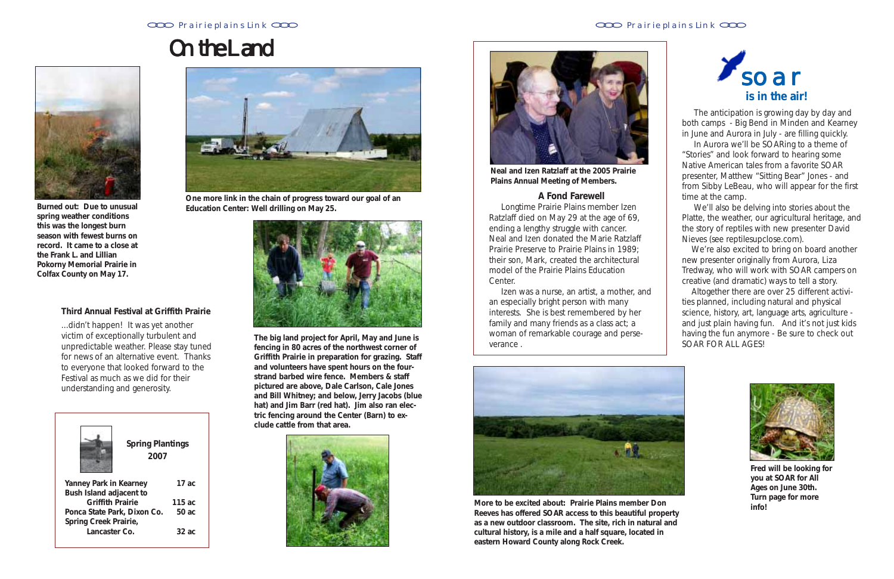### Prairie plains Link CCO **Prairie plains Link CCO Prairie plains Link CCO Prairie plains Link CCO**



**Fred will be looking for you at SOAR for All Ages on June 30th. Turn page for more info!**

|                               | <b>Spring Plantings</b><br>2007 |          |
|-------------------------------|---------------------------------|----------|
| <b>Yanney Park in Kearney</b> |                                 | 17 $ac$  |
| Bush Island adjacent to       |                                 |          |
| <b>Griffith Prairie</b>       |                                 | 115ac    |
| Ponca State Park, Dixon Co.   |                                 | 50 ac    |
| Spring Creek Prairie,         |                                 |          |
| Lancaster Co.                 |                                 | $32$ ac. |
|                               |                                 |          |



**Burned out: Due to unusual spring weather conditions this was the longest burn season with fewest burns on record. It came to a close at the Frank L. and Lillian Pokorny Memorial Prairie in Colfax County on May 17.**



**One more link in the chain of progress toward our goal of an Education Center: Well drilling on May 25.**



# *On the Land the On Land*

### **Third Annual Festival at Griffith Prairie**

...didn't happen! It was yet another victim of exceptionally turbulent and unpredictable weather. Please stay tuned for news of an alternative event. Thanks to everyone that looked forward to the Festival as much as we did for their understanding and generosity.

**The big land project for April, May and June is fencing in 80 acres of the northwest corner of Griffith Prairie in preparation for grazing. Staff and volunteers have spent hours on the fourstrand barbed wire fence. Members & staff pictured are above, Dale Carlson, Cale Jones and Bill Whitney; and below, Jerry Jacobs (blue hat) and Jim Barr (red hat). Jim also ran electric fencing around the Center (Barn) to exclude cattle from that area.**





**Neal and Izen Ratzlaff at the 2005 Prairie Plains Annual Meeting of Members.**

### **A Fond Farewell**

 Longtime Prairie Plains member Izen Ratzlaff died on May 29 at the age of 69, ending a lengthy struggle with cancer. Neal and Izen donated the Marie Ratzlaff Prairie Preserve to Prairie Plains in 1989; their son, Mark, created the architectural model of the Prairie Plains Education Center.

 Izen was a nurse, an artist, a mother, and an especially bright person with many interests. She is best remembered by her family and many friends as a class act; a woman of remarkable courage and perseverance .

 The anticipation is growing day by day and both camps - Big Bend in Minden and Kearney in June and Aurora in July - are filling quickly.

 In Aurora we'll be SOARing to a theme of "Stories" and look forward to hearing some Native American tales from a favorite SOAR presenter, Matthew "Sitting Bear" Jones - and from Sibby LeBeau, who will appear for the first time at the camp.

 We'll also be delving into stories about the Platte, the weather, our agricultural heritage, and the story of reptiles with new presenter David Nieves (see reptilesupclose.com).

 We're also excited to bring on board another new presenter originally from Aurora, Liza Tredway, who will work with SOAR campers on creative (and dramatic) ways to tell a story.

 Altogether there are over 25 different activities planned, including natural and physical science, history, art, language arts, agriculture and just plain having fun. And it's not just kids having the fun anymore - Be sure to check out SOAR FOR ALL AGES!





**More to be excited about: Prairie Plains member Don Reeves has offered SOAR access to this beautiful property as a new outdoor classroom. The site, rich in natural and cultural history, is a mile and a half square, located in eastern Howard County along Rock Creek.**